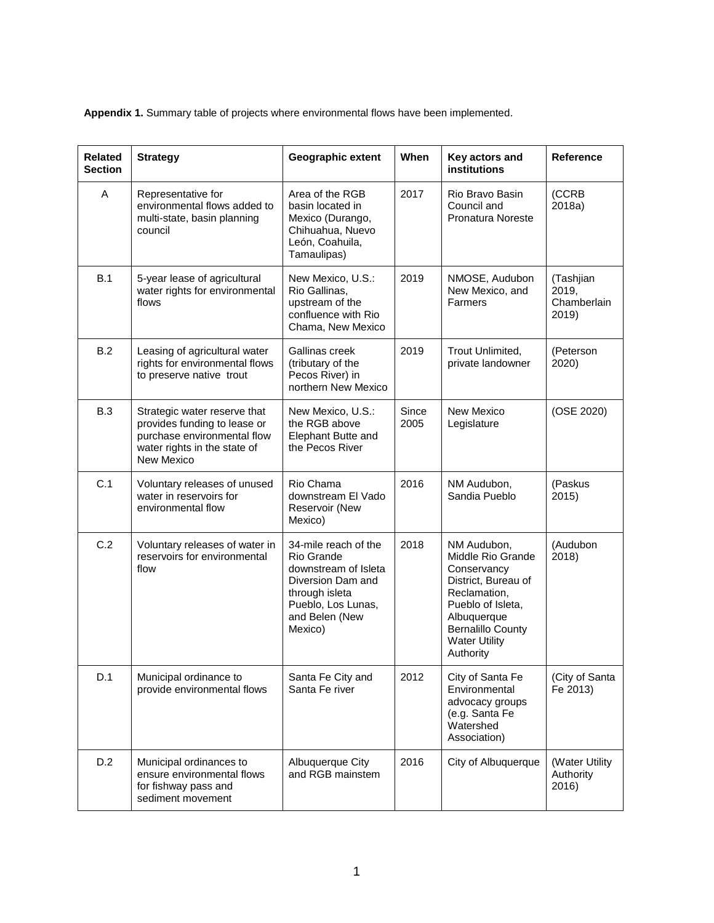**Appendix 1.** Summary table of projects where environmental flows have been implemented.

| <b>Related</b><br><b>Section</b> | <b>Strategy</b>                                                                                                                           | Geographic extent                                                                                                                                    | When          | Key actors and<br><b>institutions</b>                                                                                                                                                       | Reference                                  |
|----------------------------------|-------------------------------------------------------------------------------------------------------------------------------------------|------------------------------------------------------------------------------------------------------------------------------------------------------|---------------|---------------------------------------------------------------------------------------------------------------------------------------------------------------------------------------------|--------------------------------------------|
| A                                | Representative for<br>environmental flows added to<br>multi-state, basin planning<br>council                                              | Area of the RGB<br>basin located in<br>Mexico (Durango,<br>Chihuahua, Nuevo<br>León, Coahuila,<br>Tamaulipas)                                        | 2017          | Rio Bravo Basin<br>Council and<br>Pronatura Noreste                                                                                                                                         | (CCRB<br>2018a)                            |
| B.1                              | 5-year lease of agricultural<br>water rights for environmental<br>flows                                                                   | New Mexico, U.S.:<br>Rio Gallinas,<br>upstream of the<br>confluence with Rio<br>Chama, New Mexico                                                    | 2019          | NMOSE, Audubon<br>New Mexico, and<br>Farmers                                                                                                                                                | (Tashjian<br>2019,<br>Chamberlain<br>2019) |
| B.2                              | Leasing of agricultural water<br>rights for environmental flows<br>to preserve native trout                                               | Gallinas creek<br>(tributary of the<br>Pecos River) in<br>northern New Mexico                                                                        | 2019          | Trout Unlimited,<br>private landowner                                                                                                                                                       | (Peterson<br>2020)                         |
| <b>B.3</b>                       | Strategic water reserve that<br>provides funding to lease or<br>purchase environmental flow<br>water rights in the state of<br>New Mexico | New Mexico, U.S.:<br>the RGB above<br>Elephant Butte and<br>the Pecos River                                                                          | Since<br>2005 | New Mexico<br>Legislature                                                                                                                                                                   | (OSE 2020)                                 |
| C.1                              | Voluntary releases of unused<br>water in reservoirs for<br>environmental flow                                                             | Rio Chama<br>downstream El Vado<br>Reservoir (New<br>Mexico)                                                                                         | 2016          | NM Audubon,<br>Sandia Pueblo                                                                                                                                                                | (Paskus<br>2015)                           |
| C.2                              | Voluntary releases of water in<br>reservoirs for environmental<br>flow                                                                    | 34-mile reach of the<br>Rio Grande<br>downstream of Isleta<br>Diversion Dam and<br>through isleta<br>Pueblo, Los Lunas,<br>and Belen (New<br>Mexico) | 2018          | NM Audubon,<br>Middle Rio Grande<br>Conservancy<br>District, Bureau of<br>Reclamation,<br>Pueblo of Isleta,<br>Albuquerque<br><b>Bernalillo County</b><br><b>Water Utility</b><br>Authority | (Audubon<br>2018)                          |
| D.1                              | Municipal ordinance to<br>provide environmental flows                                                                                     | Santa Fe City and<br>Santa Fe river                                                                                                                  | 2012          | City of Santa Fe<br>Environmental<br>advocacy groups<br>(e.g. Santa Fe<br>Watershed<br>Association)                                                                                         | (City of Santa<br>Fe 2013)                 |
| D.2                              | Municipal ordinances to<br>ensure environmental flows<br>for fishway pass and<br>sediment movement                                        | Albuquerque City<br>and RGB mainstem                                                                                                                 | 2016          | City of Albuquerque                                                                                                                                                                         | (Water Utility<br>Authority<br>2016)       |